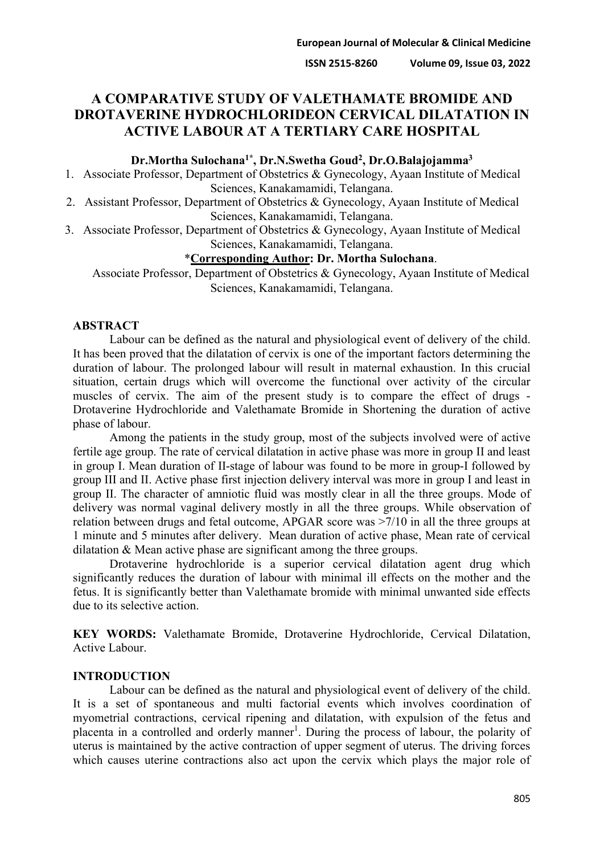# **A COMPARATIVE STUDY OF VALETHAMATE BROMIDE AND DROTAVERINE HYDROCHLORIDEON CERVICAL DILATATION IN ACTIVE LABOUR AT A TERTIARY CARE HOSPITAL**

#### **Dr.Mortha Sulochana1\*, Dr.N.Swetha Goud2, Dr.O.Balajojamma3**

1. Associate Professor, Department of Obstetrics & Gynecology, Ayaan Institute of Medical Sciences, Kanakamamidi, Telangana.

2. Assistant Professor, Department of Obstetrics & Gynecology, Ayaan Institute of Medical Sciences, Kanakamamidi, Telangana.

3. Associate Professor, Department of Obstetrics & Gynecology, Ayaan Institute of Medical Sciences, Kanakamamidi, Telangana.

# \***Corresponding Author: Dr. Mortha Sulochana**.

Associate Professor, Department of Obstetrics & Gynecology, Ayaan Institute of Medical Sciences, Kanakamamidi, Telangana.

### **ABSTRACT**

Labour can be defined as the natural and physiological event of delivery of the child. It has been proved that the dilatation of cervix is one of the important factors determining the duration of labour. The prolonged labour will result in maternal exhaustion. In this crucial situation, certain drugs which will overcome the functional over activity of the circular muscles of cervix. The aim of the present study is to compare the effect of drugs - Drotaverine Hydrochloride and Valethamate Bromide in Shortening the duration of active phase of labour.

Among the patients in the study group, most of the subjects involved were of active fertile age group. The rate of cervical dilatation in active phase was more in group II and least in group I. Mean duration of II-stage of labour was found to be more in group-I followed by group III and II. Active phase first injection delivery interval was more in group I and least in group II. The character of amniotic fluid was mostly clear in all the three groups. Mode of delivery was normal vaginal delivery mostly in all the three groups. While observation of relation between drugs and fetal outcome, APGAR score was >7/10 in all the three groups at 1 minute and 5 minutes after delivery. Mean duration of active phase, Mean rate of cervical dilatation & Mean active phase are significant among the three groups.

Drotaverine hydrochloride is a superior cervical dilatation agent drug which significantly reduces the duration of labour with minimal ill effects on the mother and the fetus. It is significantly better than Valethamate bromide with minimal unwanted side effects due to its selective action.

**KEY WORDS:** Valethamate Bromide, Drotaverine Hydrochloride, Cervical Dilatation, Active Labour.

#### **INTRODUCTION**

Labour can be defined as the natural and physiological event of delivery of the child. It is a set of spontaneous and multi factorial events which involves coordination of myometrial contractions, cervical ripening and dilatation, with expulsion of the fetus and placenta in a controlled and orderly manner<sup>1</sup>. During the process of labour, the polarity of uterus is maintained by the active contraction of upper segment of uterus. The driving forces which causes uterine contractions also act upon the cervix which plays the major role of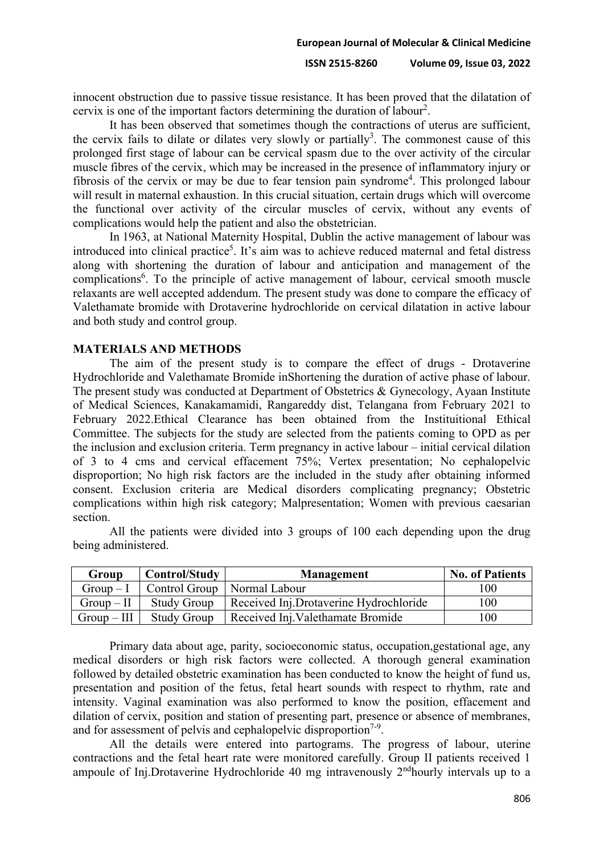innocent obstruction due to passive tissue resistance. It has been proved that the dilatation of cervix is one of the important factors determining the duration of labour<sup>2</sup>.

It has been observed that sometimes though the contractions of uterus are sufficient, the cervix fails to dilate or dilates very slowly or partially<sup>3</sup>. The commonest cause of this prolonged first stage of labour can be cervical spasm due to the over activity of the circular muscle fibres of the cervix, which may be increased in the presence of inflammatory injury or fibrosis of the cervix or may be due to fear tension pain syndrome<sup>4</sup>. This prolonged labour will result in maternal exhaustion. In this crucial situation, certain drugs which will overcome the functional over activity of the circular muscles of cervix, without any events of complications would help the patient and also the obstetrician.

In 1963, at National Maternity Hospital, Dublin the active management of labour was introduced into clinical practice<sup>5</sup>. It's aim was to achieve reduced maternal and fetal distress along with shortening the duration of labour and anticipation and management of the complications<sup>6</sup>. To the principle of active management of labour, cervical smooth muscle relaxants are well accepted addendum. The present study was done to compare the efficacy of Valethamate bromide with Drotaverine hydrochloride on cervical dilatation in active labour and both study and control group.

### **MATERIALS AND METHODS**

The aim of the present study is to compare the effect of drugs - Drotaverine Hydrochloride and Valethamate Bromide inShortening the duration of active phase of labour. The present study was conducted at Department of Obstetrics & Gynecology, Ayaan Institute of Medical Sciences, Kanakamamidi, Rangareddy dist, Telangana from February 2021 to February 2022.Ethical Clearance has been obtained from the Instituitional Ethical Committee. The subjects for the study are selected from the patients coming to OPD as per the inclusion and exclusion criteria. Term pregnancy in active labour – initial cervical dilation of 3 to 4 cms and cervical effacement 75%; Vertex presentation; No cephalopelvic disproportion; No high risk factors are the included in the study after obtaining informed consent. Exclusion criteria are Medical disorders complicating pregnancy; Obstetric complications within high risk category; Malpresentation; Women with previous caesarian section.

All the patients were divided into 3 groups of 100 each depending upon the drug being administered.

| Group       | Control/Study                 | <b>Management</b>                      | <b>No. of Patients</b> |
|-------------|-------------------------------|----------------------------------------|------------------------|
| $Group-I$   | Control Group   Normal Labour |                                        | 100                    |
| $Group-II$  | <b>Study Group</b>            | Received Inj.Drotaverine Hydrochloride | 100                    |
| $Group-III$ | <b>Study Group</b>            | Received Inj. Valethamate Bromide      | 100                    |

Primary data about age, parity, socioeconomic status, occupation,gestational age, any medical disorders or high risk factors were collected. A thorough general examination followed by detailed obstetric examination has been conducted to know the height of fund us, presentation and position of the fetus, fetal heart sounds with respect to rhythm, rate and intensity. Vaginal examination was also performed to know the position, effacement and dilation of cervix, position and station of presenting part, presence or absence of membranes, and for assessment of pelvis and cephalopelvic disproportion<sup> $7-9$ </sup>.

All the details were entered into partograms. The progress of labour, uterine contractions and the fetal heart rate were monitored carefully. Group II patients received 1 ampoule of Inj.Drotaverine Hydrochloride 40 mg intravenously 2<sup>nd</sup>hourly intervals up to a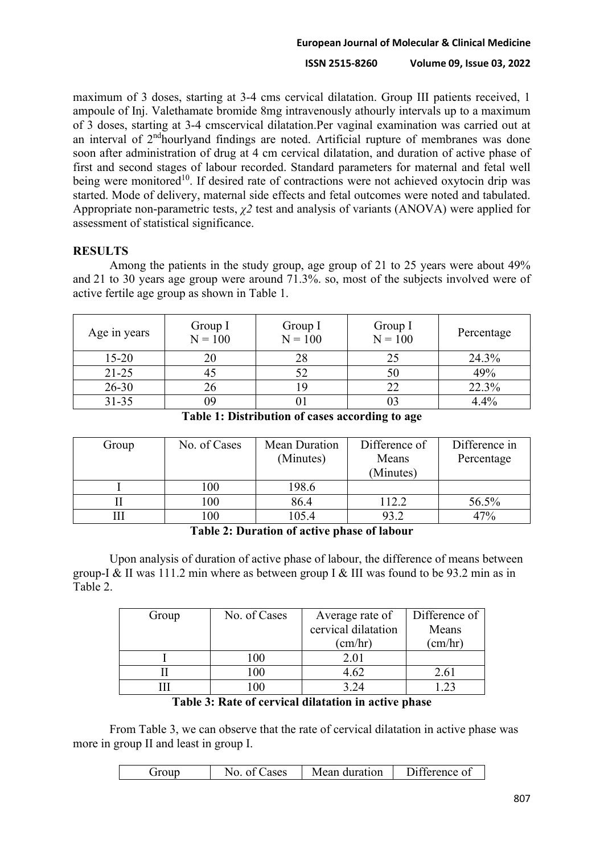# **European Journal of Molecular & Clinical Medicine**

### **ISSN 2515-8260 Volume 09, Issue 03, 2022**

maximum of 3 doses, starting at 3-4 cms cervical dilatation. Group III patients received, 1 ampoule of Inj. Valethamate bromide 8mg intravenously athourly intervals up to a maximum of 3 doses, starting at 3-4 cmscervical dilatation.Per vaginal examination was carried out at an interval of 2ndhourlyand findings are noted. Artificial rupture of membranes was done soon after administration of drug at 4 cm cervical dilatation, and duration of active phase of first and second stages of labour recorded. Standard parameters for maternal and fetal well being were monitored<sup>10</sup>. If desired rate of contractions were not achieved oxytocin drip was started. Mode of delivery, maternal side effects and fetal outcomes were noted and tabulated. Appropriate non-parametric tests, *χ2* test and analysis of variants (ANOVA) were applied for assessment of statistical significance.

# **RESULTS**

Among the patients in the study group, age group of 21 to 25 years were about 49% and 21 to 30 years age group were around 71.3%. so, most of the subjects involved were of active fertile age group as shown in Table 1.

| Age in years | Group I<br>$N = 100$ | Group I<br>$N = 100$ | Group I<br>$N = 100$ | Percentage |
|--------------|----------------------|----------------------|----------------------|------------|
| $15 - 20$    |                      |                      | 25                   | 24.3%      |
| $21 - 25$    | 45                   |                      | 50                   | 49%        |
| $26 - 30$    | 26                   |                      | 22                   | 22.3%      |
| $31 - 35$    | )9                   |                      |                      | 4.4%       |

**Table 1: Distribution of cases according to age**

| Group | No. of Cases | Mean Duration | Difference of | Difference in |
|-------|--------------|---------------|---------------|---------------|
|       |              | (Minutes)     | Means         | Percentage    |
|       |              |               | (Minutes)     |               |
|       | 100          | 198.6         |               |               |
|       | 100          | 86.4          | 112.2         | 56.5%         |
|       | 00           | 105.4         | 93.2          | 47%           |

# **Table 2: Duration of active phase of labour**

Upon analysis of duration of active phase of labour, the difference of means between group-I & II was 111.2 min where as between group I & III was found to be 93.2 min as in Table 2.

| Group       | No. of Cases                      | Average rate of     | Difference of    |
|-------------|-----------------------------------|---------------------|------------------|
|             |                                   | cervical dilatation | Means            |
|             |                                   | $\text{(cm/hr)}$    | $(\text{cm/hr})$ |
|             | 100                               | 2.01                |                  |
|             | 100                               | 4.62                | 2.61             |
|             | 100                               | 3.24                |                  |
| <b>m</b> 11 | $\bullet$<br>$\sim$ $\sim$ $\sim$ | .<br>. .            |                  |

**Table 3: Rate of cervical dilatation in active phase**

From Table 3, we can observe that the rate of cervical dilatation in active phase was more in group II and least in group I.

| NG.<br>ases | Mean duration | $\Gamma$ : fference of |
|-------------|---------------|------------------------|
|             |               |                        |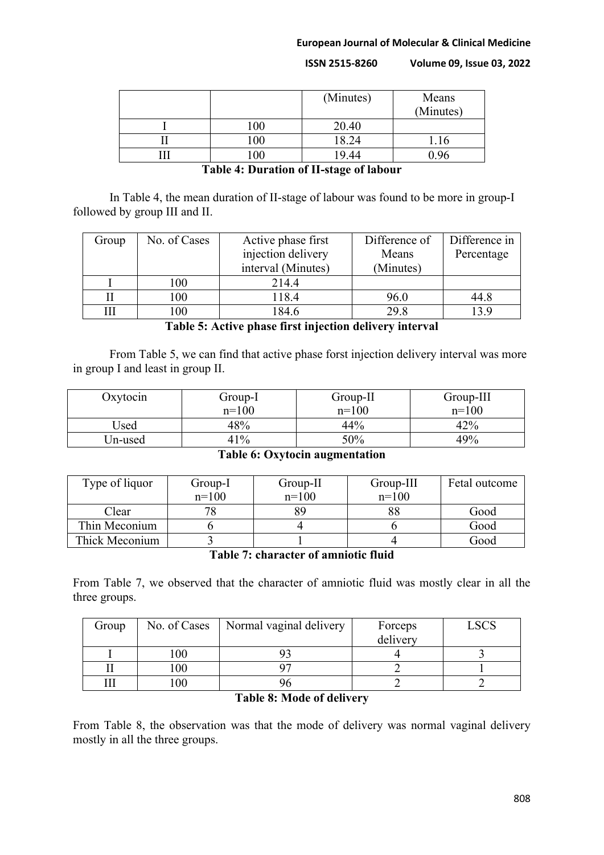#### **European Journal of Molecular & Clinical Medicine**

**ISSN 2515-8260 Volume 09, Issue 03, 2022**

|                 | (Minutes) | Means<br>(Minutes) |
|-----------------|-----------|--------------------|
| 00 <sub>1</sub> | 20.40     |                    |
| 100             | 18.24     | 1.16               |
|                 | 19.44     | ) ዓ6               |

**Table 4: Duration of II-stage of labour**

In Table 4, the mean duration of II-stage of labour was found to be more in group-I followed by group III and II.

| Group | No. of Cases | Active phase first | Difference of | Difference in |
|-------|--------------|--------------------|---------------|---------------|
|       |              | injection delivery | Means         | Percentage    |
|       |              | interval (Minutes) | (Minutes)     |               |
|       | 100          | 214.4              |               |               |
|       | 100          | 118.4              | 96.0          | 44.8          |
|       | 100          | 184.6              | 29.8          | 13.9          |

**Table 5: Active phase first injection delivery interval**

From Table 5, we can find that active phase forst injection delivery interval was more in group I and least in group II.

| Oxytocin | Group-I | $Group-II$ | $Group-III$ |
|----------|---------|------------|-------------|
|          | $n=100$ | $n=100$    | $n=100$     |
| Used     | 48%     | 44%        | 42%         |
| Un-used  | 41%     | 50%        | 49%         |

# **Table 6: Oxytocin augmentation**

| Type of liquor | Group-I | Group-II | Group-III | Fetal outcome |
|----------------|---------|----------|-----------|---------------|
|                | $n=100$ | $n=100$  | $n=100$   |               |
| Clear          |         | 89       |           | Good          |
| Thin Meconium  |         |          |           | Good          |
| Thick Meconium |         |          |           | Good          |

**Table 7: character of amniotic fluid**

From Table 7, we observed that the character of amniotic fluid was mostly clear in all the three groups.

| Group |        | No. of Cases   Normal vaginal delivery | Forceps<br>delivery | LSCS |
|-------|--------|----------------------------------------|---------------------|------|
|       | 100    |                                        |                     |      |
|       | 100    |                                        |                     |      |
|       | $00\,$ |                                        |                     |      |

# **Table 8: Mode of delivery**

From Table 8, the observation was that the mode of delivery was normal vaginal delivery mostly in all the three groups.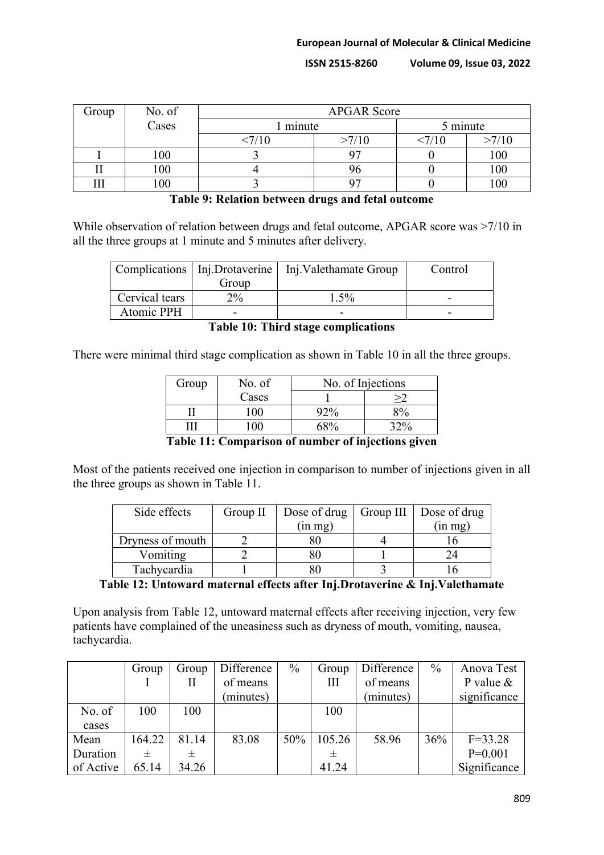| Group | No. of | <b>APGAR Score</b> |       |          |       |
|-------|--------|--------------------|-------|----------|-------|
|       | Cases  | minute             |       | 5 minute |       |
|       |        | <7/10              | >7/10 | ΊU       | >7/10 |
|       | 100    |                    | ∩⊓    |          | 100   |
|       | 100    |                    |       |          | 100   |
| гтт   | 00     |                    |       |          |       |

# **Table 9: Relation between drugs and fetal outcome**

While observation of relation between drugs and fetal outcome, APGAR score was >7/10 in all the three groups at 1 minute and 5 minutes after delivery.

|                | Complications   Inj.Drotaverine | Inj. Valethamate Group | Control |
|----------------|---------------------------------|------------------------|---------|
|                | Group                           |                        |         |
| Cervical tears | $2\%$                           | $1.5\%$                | -       |
| Atomic PPH     |                                 | -                      | -       |

**Table 10: Third stage complications**

There were minimal third stage complication as shown in Table 10 in all the three groups.

| Group           | No. of | No. of Injections       |                                                  |  |
|-----------------|--------|-------------------------|--------------------------------------------------|--|
|                 | Cases  |                         |                                                  |  |
|                 |        |                         | $Q_0$                                            |  |
|                 |        |                         |                                                  |  |
| .<br>___<br>- - | $\sim$ | $\sim$<br>$\sim$ $\sim$ | $\sim$ $\sim$ $\sim$<br>$\overline{\phantom{a}}$ |  |

**Table 11: Comparison of number of injections given**

Most of the patients received one injection in comparison to number of injections given in all the three groups as shown in Table 11.

| Side effects     | Group $II$ | Dose of drug $\vert$ | Group III | Dose of drug |  |
|------------------|------------|----------------------|-----------|--------------|--|
|                  |            | (in mg)              |           | (in mg)      |  |
| Dryness of mouth |            |                      |           |              |  |
| Vomiting         |            |                      |           |              |  |
| Tachycardia      |            |                      |           |              |  |

# **Table 12: Untoward maternal effects after Inj.Drotaverine & Inj.Valethamate**

Upon analysis from Table 12, untoward maternal effects after receiving injection, very few patients have complained of the uneasiness such as dryness of mouth, vomiting, nausea, tachycardia.

|           | Group  | Group | Difference | $\%$ | Group  | Difference | $\frac{0}{0}$ | Anova Test   |
|-----------|--------|-------|------------|------|--------|------------|---------------|--------------|
|           |        | Н     | of means   |      | Ш      | of means   |               | P value $&$  |
|           |        |       | (minutes)  |      |        | (minutes)  |               | significance |
| No. of    | 100    | 100   |            |      | 100    |            |               |              |
| cases     |        |       |            |      |        |            |               |              |
| Mean      | 164.22 | 81.14 | 83.08      | 50%  | 105.26 | 58.96      | 36%           | $F = 33.28$  |
| Duration  |        | 士     |            |      | 士      |            |               | $P=0.001$    |
| of Active | 65.14  | 34.26 |            |      | 41.24  |            |               | Significance |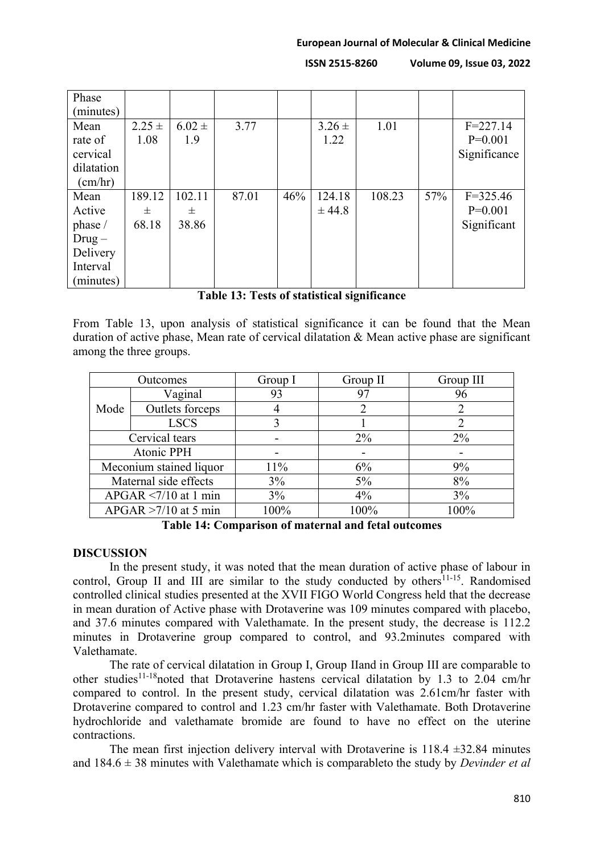| Phase      |            |            |       |     |            |        |     |              |
|------------|------------|------------|-------|-----|------------|--------|-----|--------------|
| (minutes)  |            |            |       |     |            |        |     |              |
| Mean       | $2.25 \pm$ | $6.02 \pm$ | 3.77  |     | $3.26 \pm$ | 1.01   |     | $F = 227.14$ |
| rate of    | 1.08       | 1.9        |       |     | 1.22       |        |     | $P=0.001$    |
| cervical   |            |            |       |     |            |        |     | Significance |
| dilatation |            |            |       |     |            |        |     |              |
| (cm/hr)    |            |            |       |     |            |        |     |              |
| Mean       | 189.12     | 102.11     | 87.01 | 46% | 124.18     | 108.23 | 57% | $F = 325.46$ |
| Active     | 士          | 士          |       |     | ± 44.8     |        |     | $P=0.001$    |
| phase /    | 68.18      | 38.86      |       |     |            |        |     | Significant  |
| $Drug -$   |            |            |       |     |            |        |     |              |
| Delivery   |            |            |       |     |            |        |     |              |
| Interval   |            |            |       |     |            |        |     |              |
| (minutes)  |            |            |       |     |            |        |     |              |

# **Table 13: Tests of statistical significance**

From Table 13, upon analysis of statistical significance it can be found that the Mean duration of active phase, Mean rate of cervical dilatation & Mean active phase are significant among the three groups.

| Outcomes                |                 | Group I | Group II | Group III |
|-------------------------|-----------------|---------|----------|-----------|
|                         | Vaginal         | 93      | 97       | 96        |
| Mode                    | Outlets forceps |         | 2        | 2         |
|                         | <b>LSCS</b>     |         |          |           |
| Cervical tears          |                 |         | $2\%$    | $2\%$     |
| Atonic PPH              |                 |         |          |           |
| Meconium stained liquor |                 | 11%     | 6%       | 9%        |
| Maternal side effects   |                 | 3%      |          | 8%        |
| $APGAR < 7/10$ at 1 min |                 | 3%      | $4\%$    | 3%        |
| $APGAR > 7/10$ at 5 min |                 | 100%    | 100%     | 100%      |

**Table 14: Comparison of maternal and fetal outcomes**

# **DISCUSSION**

In the present study, it was noted that the mean duration of active phase of labour in control, Group II and III are similar to the study conducted by others $11-15$ . Randomised controlled clinical studies presented at the XVII FIGO World Congress held that the decrease in mean duration of Active phase with Drotaverine was 109 minutes compared with placebo, and 37.6 minutes compared with Valethamate. In the present study, the decrease is 112.2 minutes in Drotaverine group compared to control, and 93.2minutes compared with Valethamate.

The rate of cervical dilatation in Group I, Group IIand in Group III are comparable to other studies<sup>11-18</sup>noted that Drotaverine hastens cervical dilatation by 1.3 to 2.04 cm/hr compared to control. In the present study, cervical dilatation was 2.61cm/hr faster with Drotaverine compared to control and 1.23 cm/hr faster with Valethamate. Both Drotaverine hydrochloride and valethamate bromide are found to have no effect on the uterine contractions.

The mean first injection delivery interval with Drotaverine is  $118.4 \pm 32.84$  minutes and 184.6 ± 38 minutes with Valethamate which is comparableto the study by *Devinder et al*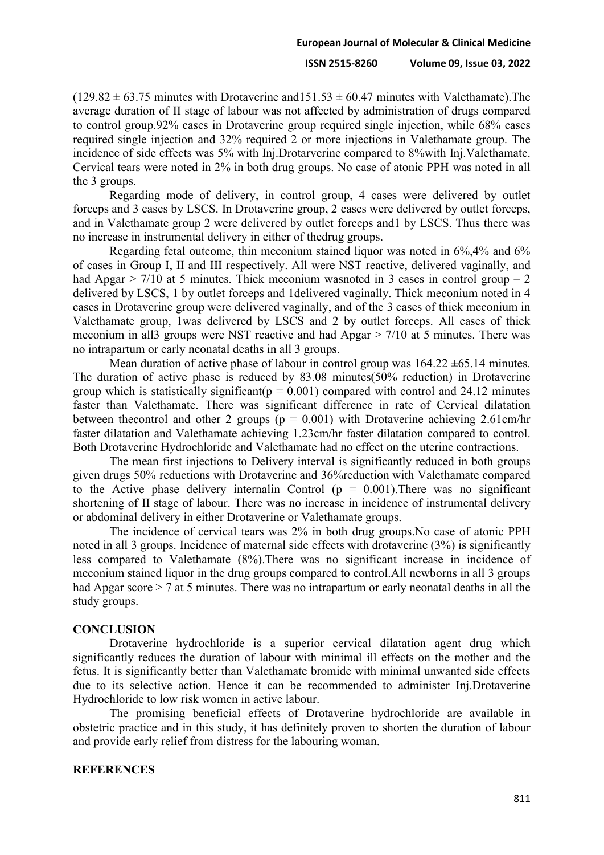$(129.82 \pm 63.75$  minutes with Drotaverine and  $151.53 \pm 60.47$  minutes with Valethamate). The average duration of II stage of labour was not affected by administration of drugs compared to control group.92% cases in Drotaverine group required single injection, while 68% cases required single injection and 32% required 2 or more injections in Valethamate group. The incidence of side effects was 5% with Inj.Drotarverine compared to 8%with Inj.Valethamate. Cervical tears were noted in 2% in both drug groups. No case of atonic PPH was noted in all the 3 groups.

Regarding mode of delivery, in control group, 4 cases were delivered by outlet forceps and 3 cases by LSCS. In Drotaverine group, 2 cases were delivered by outlet forceps, and in Valethamate group 2 were delivered by outlet forceps and1 by LSCS. Thus there was no increase in instrumental delivery in either of thedrug groups.

Regarding fetal outcome, thin meconium stained liquor was noted in 6%,4% and 6% of cases in Group I, II and III respectively. All were NST reactive, delivered vaginally, and had Apgar  $> 7/10$  at 5 minutes. Thick meconium wasnoted in 3 cases in control group  $-2$ delivered by LSCS, 1 by outlet forceps and 1delivered vaginally. Thick meconium noted in 4 cases in Drotaverine group were delivered vaginally, and of the 3 cases of thick meconium in Valethamate group, 1was delivered by LSCS and 2 by outlet forceps. All cases of thick meconium in all3 groups were NST reactive and had Apgar > 7/10 at 5 minutes. There was no intrapartum or early neonatal deaths in all 3 groups.

Mean duration of active phase of labour in control group was  $164.22 \pm 65.14$  minutes. The duration of active phase is reduced by 83.08 minutes(50% reduction) in Drotaverine group which is statistically significant( $p = 0.001$ ) compared with control and 24.12 minutes faster than Valethamate. There was significant difference in rate of Cervical dilatation between the control and other 2 groups ( $p = 0.001$ ) with Drotaverine achieving 2.61cm/hr faster dilatation and Valethamate achieving 1.23cm/hr faster dilatation compared to control. Both Drotaverine Hydrochloride and Valethamate had no effect on the uterine contractions.

The mean first injections to Delivery interval is significantly reduced in both groups given drugs 50% reductions with Drotaverine and 36%reduction with Valethamate compared to the Active phase delivery internalin Control ( $p = 0.001$ ). There was no significant shortening of II stage of labour. There was no increase in incidence of instrumental delivery or abdominal delivery in either Drotaverine or Valethamate groups.

The incidence of cervical tears was 2% in both drug groups.No case of atonic PPH noted in all 3 groups. Incidence of maternal side effects with drotaverine (3%) is significantly less compared to Valethamate (8%).There was no significant increase in incidence of meconium stained liquor in the drug groups compared to control.All newborns in all 3 groups had Apgar score > 7 at 5 minutes. There was no intrapartum or early neonatal deaths in all the study groups.

### **CONCLUSION**

Drotaverine hydrochloride is a superior cervical dilatation agent drug which significantly reduces the duration of labour with minimal ill effects on the mother and the fetus. It is significantly better than Valethamate bromide with minimal unwanted side effects due to its selective action. Hence it can be recommended to administer Inj.Drotaverine Hydrochloride to low risk women in active labour.

The promising beneficial effects of Drotaverine hydrochloride are available in obstetric practice and in this study, it has definitely proven to shorten the duration of labour and provide early relief from distress for the labouring woman.

### **REFERENCES**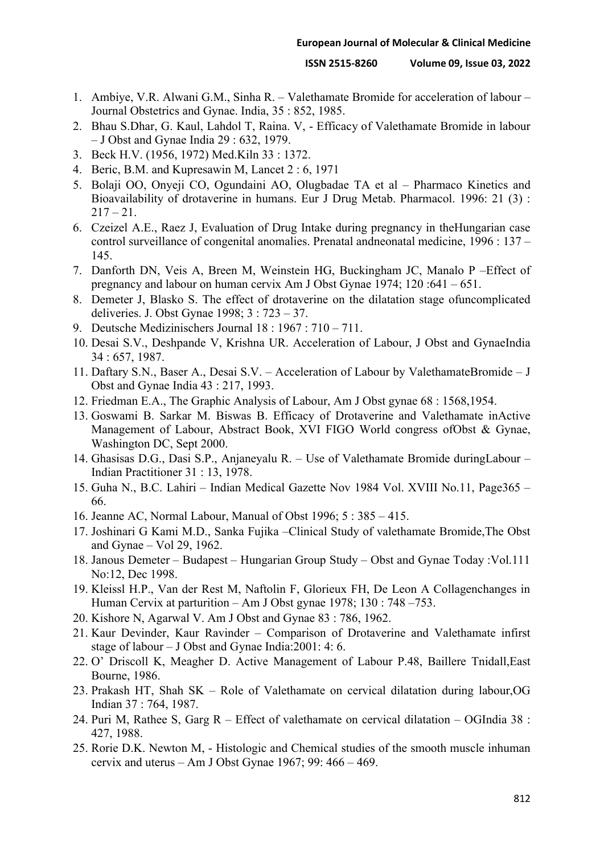- 1. Ambiye, V.R. Alwani G.M., Sinha R. Valethamate Bromide for acceleration of labour Journal Obstetrics and Gynae. India, 35 : 852, 1985.
- 2. Bhau S.Dhar, G. Kaul, Lahdol T, Raina. V, Efficacy of Valethamate Bromide in labour – J Obst and Gynae India 29 : 632, 1979.
- 3. Beck H.V. (1956, 1972) Med.Kiln 33 : 1372.
- 4. Beric, B.M. and Kupresawin M, Lancet 2 : 6, 1971
- 5. Bolaji OO, Onyeji CO, Ogundaini AO, Olugbadae TA et al Pharmaco Kinetics and Bioavailability of drotaverine in humans. Eur J Drug Metab. Pharmacol. 1996: 21 (3) :  $217 - 21$ .
- 6. Czeizel A.E., Raez J, Evaluation of Drug Intake during pregnancy in theHungarian case control surveillance of congenital anomalies. Prenatal andneonatal medicine, 1996 : 137 – 145.
- 7. Danforth DN, Veis A, Breen M, Weinstein HG, Buckingham JC, Manalo P –Effect of pregnancy and labour on human cervix Am J Obst Gynae 1974; 120 :641 – 651.
- 8. Demeter J, Blasko S. The effect of drotaverine on the dilatation stage ofuncomplicated deliveries. J. Obst Gynae 1998; 3 : 723 – 37.
- 9. Deutsche Medizinischers Journal 18 : 1967 : 710 711.
- 10. Desai S.V., Deshpande V, Krishna UR. Acceleration of Labour, J Obst and GynaeIndia 34 : 657, 1987.
- 11. Daftary S.N., Baser A., Desai S.V. Acceleration of Labour by ValethamateBromide J Obst and Gynae India 43 : 217, 1993.
- 12. Friedman E.A., The Graphic Analysis of Labour, Am J Obst gynae 68 : 1568,1954.
- 13. Goswami B. Sarkar M. Biswas B. Efficacy of Drotaverine and Valethamate inActive Management of Labour, Abstract Book, XVI FIGO World congress ofObst & Gynae, Washington DC, Sept 2000.
- 14. Ghasisas D.G., Dasi S.P., Anjaneyalu R. Use of Valethamate Bromide duringLabour Indian Practitioner 31 : 13, 1978.
- 15. Guha N., B.C. Lahiri Indian Medical Gazette Nov 1984 Vol. XVIII No.11, Page365 66.
- 16. Jeanne AC, Normal Labour, Manual of Obst 1996; 5 : 385 415.
- 17. Joshinari G Kami M.D., Sanka Fujika –Clinical Study of valethamate Bromide,The Obst and Gynae – Vol 29, 1962.
- 18. Janous Demeter Budapest Hungarian Group Study Obst and Gynae Today :Vol.111 No:12, Dec 1998.
- 19. Kleissl H.P., Van der Rest M, Naftolin F, Glorieux FH, De Leon A Collagenchanges in Human Cervix at parturition – Am J Obst gynae 1978; 130 : 748 –753.
- 20. Kishore N, Agarwal V. Am J Obst and Gynae 83 : 786, 1962.
- 21. Kaur Devinder, Kaur Ravinder Comparison of Drotaverine and Valethamate infirst stage of labour – J Obst and Gynae India:2001: 4: 6.
- 22. O' Driscoll K, Meagher D. Active Management of Labour P.48, Baillere Tnidall,East Bourne, 1986.
- 23. Prakash HT, Shah SK Role of Valethamate on cervical dilatation during labour,OG Indian 37 : 764, 1987.
- 24. Puri M, Rathee S, Garg R Effect of valethamate on cervical dilatation OGIndia 38 : 427, 1988.
- 25. Rorie D.K. Newton M, Histologic and Chemical studies of the smooth muscle inhuman cervix and uterus – Am J Obst Gynae 1967; 99: 466 – 469.